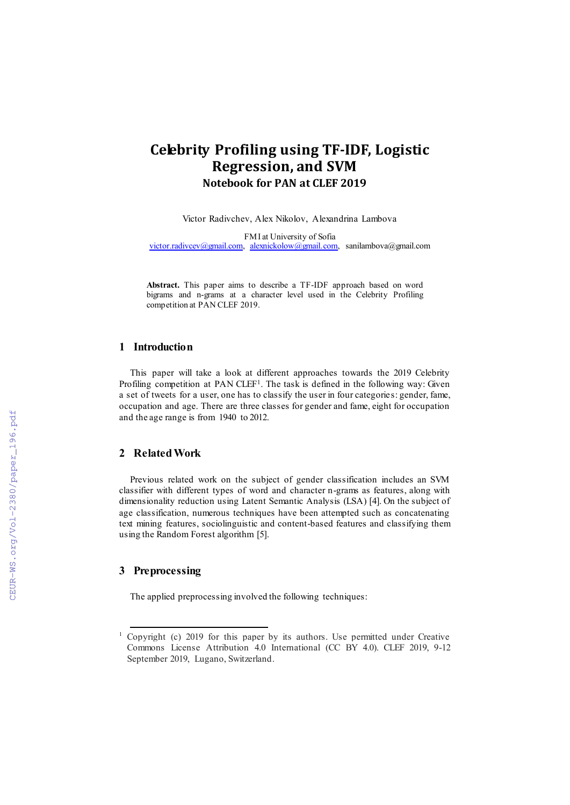# **Celebrity Profiling using TF-IDF, Logistic Regression, and SVM Notebook for PAN at CLEF 2019**

Victor Radivchev, Alex Nikolov, Alexandrina Lambova

FMI at University of Sofia [victor.radivcev@gmail.com,](mailto:victor.radivcev@gmail.com) [alexnickolow@gmail.com,](mailto:alexnickolow@gmail.com) sanilambova@gmail.com

**Abstract.** This paper aims to describe a TF-IDF approach based on word bigrams and n-grams at a character level used in the Celebrity Profiling competition at PAN CLEF 2019.

#### **1 Introduction**

This paper will take a look at different approaches towards the 2019 Celebrity Profiling competition at PAN CLEF<sup>1</sup>. The task is defined in the following way: Given a set of tweets for a user, one has to classify the user in four categories: gender, fame, occupation and age. There are three classes for gender and fame, eight for occupation and the age range is from 1940 to 2012.

#### **2 Related Work**

Previous related work on the subject of gender classification includes an SVM classifier with different types of word and character n-grams as features, along with dimensionality reduction using Latent Semantic Analysis (LSA) [4]. On the subject of age classification, numerous techniques have been attempted such as concatenating text mining features, sociolinguistic and content-based features and classifying them using the Random Forest algorithm [5].

# **3 Preprocessing**

l

The applied preprocessing involved the following techniques:

<sup>&</sup>lt;sup>1</sup> Copyright (c) 2019 for this paper by its authors. Use permitted under Creative Commons License Attribution 4.0 International (CC BY 4.0). CLEF 2019, 9-12 September 2019, Lugano, Switzerland.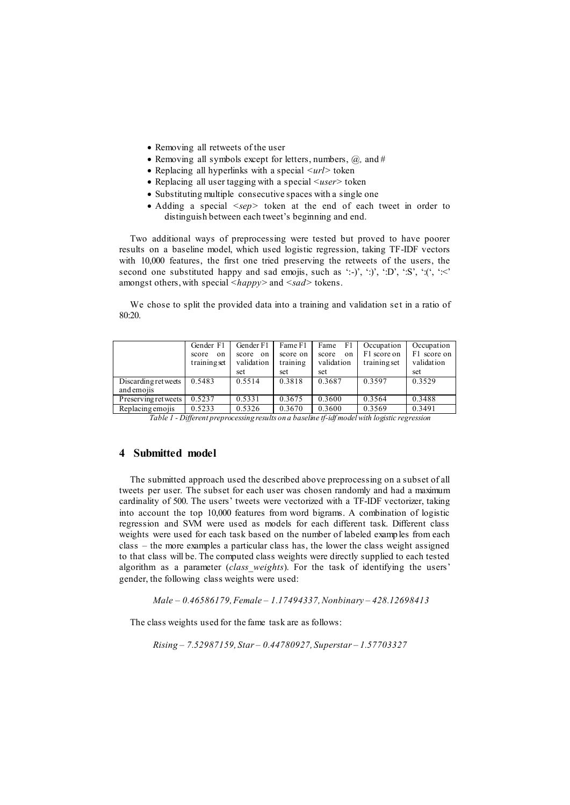- Removing all retweets of the user
- Removing all symbols except for letters, numbers,  $\overline{a}$ , and #
- Replacing all hyperlinks with a special  $\langle \langle url \rangle$  token
- Replacing all user tagging with a special *<user>* token
- Substituting multiple consecutive spaces with a single one
- Adding a special *<sep* token at the end of each tweet in order to distinguish between each tweet's beginning and end.

Two additional ways of preprocessing were tested but proved to have poorer results on a baseline model, which used logistic regression, taking TF-IDF vectors with 10,000 features, the first one tried preserving the retweets of the users, the second one substituted happy and sad emojis, such as ':-)', ':)', ':D', ':S', ':(', ':<' amongst others, with special *<happy>* and *<sad>* tokens.

We chose to split the provided data into a training and validation set in a ratio of 80:20.

|                                    | Gender F1<br>score<br>on<br>training set | Gender F1<br>score<br>on<br>validation<br>set | Fame F1<br>score on<br>training<br>set | Fame<br>F1<br>score<br>on<br>validation<br>set | Occupation<br>F1 score on<br>training set | Occupation<br>F1 score on<br>validation<br>set |
|------------------------------------|------------------------------------------|-----------------------------------------------|----------------------------------------|------------------------------------------------|-------------------------------------------|------------------------------------------------|
| Discarding ret weets<br>and emojis | 0.5483                                   | 0.5514                                        | 0.3818                                 | 0.3687                                         | 0.3597                                    | 0.3529                                         |
| Preserving retweets                | 0.5237                                   | 0.5331                                        | 0.3675                                 | 0.3600                                         | 0.3564                                    | 0.3488                                         |
| Replacing emojis                   | 0.5233<br>$ -$                           | 0.5326                                        | 0.3670                                 | 0.3600<br>.                                    | 0.3569                                    | 0.3491                                         |

*Table 1 - Different preprocessing results on a baseline tf-idf model with logistic regression*

#### **4 Submitted model**

 The submitted approach used the described above preprocessing on a subset of all tweets per user. The subset for each user was chosen randomly and had a maximum cardinality of 500. The users' tweets were vectorized with a TF-IDF vectorizer, taking into account the top 10,000 features from word bigrams. A combination of logistic regression and SVM were used as models for each different task. Different class weights were used for each task based on the number of labeled examples from each class – the more examples a particular class has, the lower the class weight assigned to that class will be. The computed class weights were directly supplied to each tested algorithm as a parameter (*class\_weights*). For the task of identifying the users' gender, the following class weights were used:

*Male – 0.46586179, Female – 1.17494337, Nonbinary – 428.12698413*

The class weights used for the fame task are as follows:

*Rising – 7.52987159, Star – 0.44780927, Superstar – 1.57703327*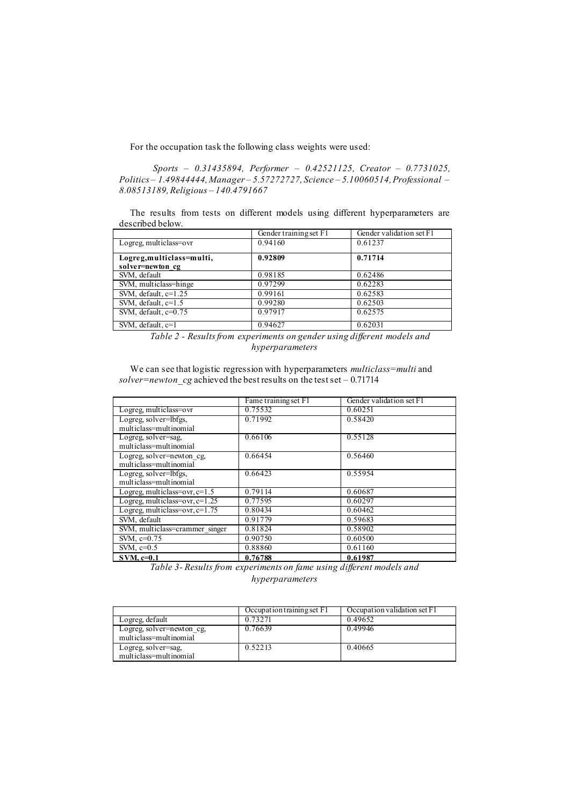For the occupation task the following class weights were used:

*Sports – 0.31435894, Performer – 0.42521125, Creator – 0.7731025, Politics – 1.49844444, Manager – 5.57272727, Science – 5.10060514, Professional – 8.08513189, Religious – 140.4791667*

The results from tests on different models using different hyperparameters are described below.

|                                               | Gender training set F1 | Gender validation set F1 |
|-----------------------------------------------|------------------------|--------------------------|
| Logreg, multiclass=ovr                        | 0.94160                | 0.61237                  |
| Logreg, multiclass=multi,<br>solver=newton cg | 0.92809                | 0.71714                  |
| SVM, default                                  | 0.98185                | 0.62486                  |
| SVM, multiclass=hinge                         | 0.97299                | 0.62283                  |
| SVM, default, $c=1.25$                        | 0.99161                | 0.62583                  |
| SVM, default, $c=1.5$                         | 0.99280                | 0.62503                  |
| SVM, default, $c=0.75$                        | 0.97917                | 0.62575                  |
| SVM, default, c=1                             | 0.94627                | 0.62031                  |

*Table 2 - Results from experiments on gender using different models and hyperparameters*

We can see that logistic regression with hyperparameters *multiclass=multi* and *solver=newton\_cg* achieved the best results on the test set – 0.71714

|                                  | Fame training set F1 | Gender validation set F1 |
|----------------------------------|----------------------|--------------------------|
| Logreg, multiclass=ovr           | 0.75532              | 0.60251                  |
| Logreg, solver=lbfgs,            | 0.71992              | 0.58420                  |
| multiclass=multinomial           |                      |                          |
| Logreg, solver=sag,              | 0.66106              | 0.55128                  |
| multiclass=multinomial           |                      |                          |
| Logreg solver=newton cg,         | 0.66454              | 0.56460                  |
| multiclass=multinomial           |                      |                          |
| Logreg, solver=lbfgs,            | 0.66423              | 0.55954                  |
| multiclass=multinomial           |                      |                          |
| Logreg, multiclass=ovr, c=1.5    | 0.79114              | 0.60687                  |
| Logreg, multiclass=ovr, $c=1.25$ | 0.77595              | 0.60297                  |
| Logreg, multiclass=ovr, $c=1.75$ | 0.80434              | 0.60462                  |
| SVM, default                     | 0.91779              | 0.59683                  |
| SVM, multiclass=crammer singer   | 0.81824              | 0.58902                  |
| SVM, c=0.75                      | 0.90750              | 0.60500                  |
| SVM, $c=0.5$                     | 0.88860              | 0.61160                  |
| $SVM$ , $c=0.1$                  | 0.76788              | 0.61987                  |

*Table 3- Results from experiments on fame using different models and hyperparameters*

|                                                     | Occupation training set F1 | Occupation validation set $\overline{FI}$ |
|-----------------------------------------------------|----------------------------|-------------------------------------------|
| Logreg, default                                     | 0.73271                    | 0.49652                                   |
| Logreg, solver=newton cg,<br>multiclass=multinomial | 0.76639                    | 0.49946                                   |
| Logreg, solver=sag,<br>multiclass=multinomial       | 0.52213                    | 0.40665                                   |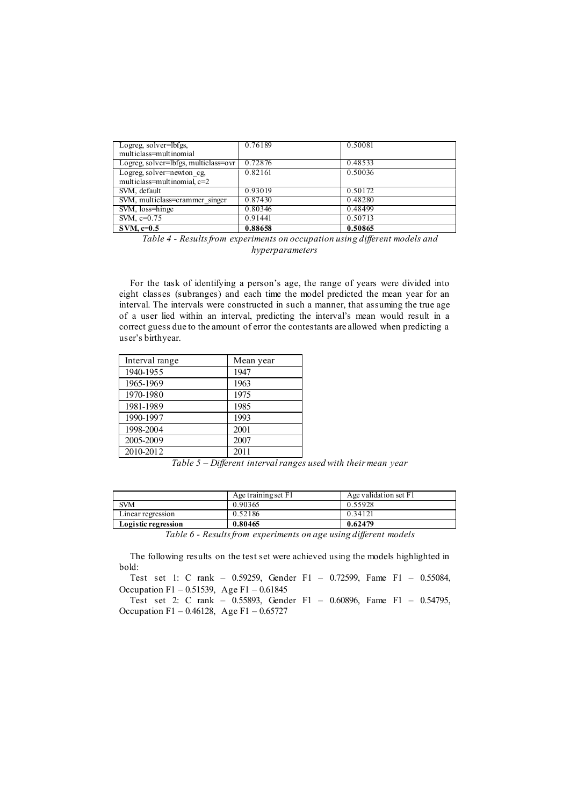| Logreg, solver=lbfgs,<br>multiclass=multinomial | 0.76189 | 0.50081 |
|-------------------------------------------------|---------|---------|
| Logreg, solver=lbfgs, multiclass=ovr            | 0.72876 | 0.48533 |
| Logreg, solver=newton_cg,                       | 0.82161 | 0.50036 |
| multiclass=multinomial, c=2                     |         |         |
| SVM, default                                    | 0.93019 | 0.50172 |
| SVM, multiclass=crammer singer                  | 0.87430 | 0.48280 |
| SVM, loss=hinge                                 | 0.80346 | 0.48499 |
| SVM, $c=0.75$                                   | 0.91441 | 0.50713 |
| $SVM$ . $c=0.5$                                 | 0.88658 | 0.50865 |

*Table 4 - Results from experiments on occupation using different models and hyperparameters*

For the task of identifying a person's age, the range of years were divided into eight classes (subranges) and each time the model predicted the mean year for an interval. The intervals were constructed in such a manner, that assuming the true age of a user lied within an interval, predicting the interval's mean would result in a correct guess due to the amount of error the contestants are allowed when predicting a user's birthyear.

| Interval range | Mean year |
|----------------|-----------|
| 1940-1955      | 1947      |
| 1965-1969      | 1963      |
| 1970-1980      | 1975      |
| 1981-1989      | 1985      |
| 1990-1997      | 1993      |
| 1998-2004      | 2001      |
| 2005-2009      | 2007      |
| 2010-2012      | 2011      |

*Table 5 – Different interval ranges used with their mean year*

|                     | Age training set F1 | Age validation set F1 |
|---------------------|---------------------|-----------------------|
| <b>SVM</b>          | 0.90365             | 0.55928               |
| Linear regression   | 0.52186             | 0.34121               |
| Logistic regression | 0.80465             | 0.62479               |
| _ _ _ _ _           |                     | - -                   |

*Table 6 - Results from experiments on age using different models*

The following results on the test set were achieved using the models highlighted in bold:

Test set 1: C rank – 0.59259, Gender F1 – 0.72599, Fame F1 – 0.55084, Occupation F1 – 0.51539, Age F1 – 0.61845

Test set 2: C rank – 0.55893, Gender F1 – 0.60896, Fame F1 – 0.54795, Occupation F1 – 0.46128, Age F1 – 0.65727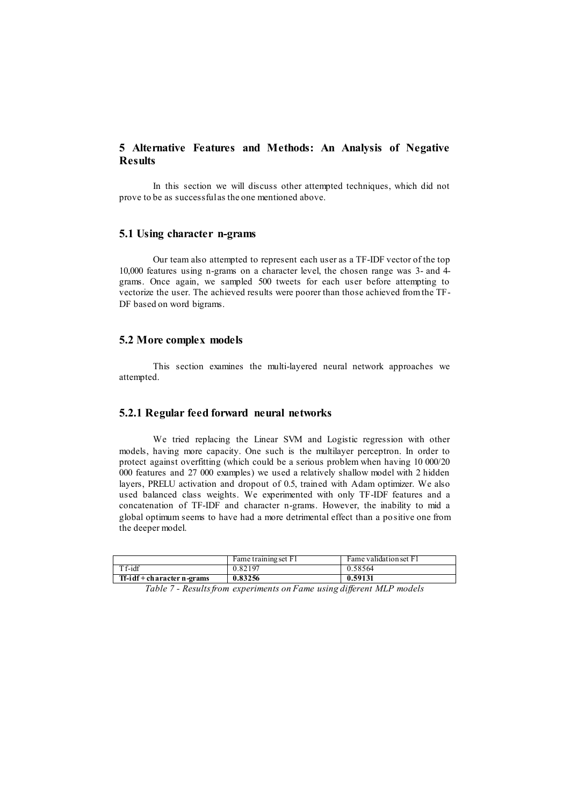# **5 Alternative Features and Methods: An Analysis of Negative Results**

In this section we will discuss other attempted techniques, which did not prove to be as successful as the one mentioned above.

#### **5.1 Using character n-grams**

Our team also attempted to represent each user as a TF-IDF vector of the top 10,000 features using n-grams on a character level, the chosen range was 3- and 4 grams. Once again, we sampled 500 tweets for each user before attempting to vectorize the user. The achieved results were poorer than those achieved from the TF-DF based on word bigrams.

### **5.2 More complex models**

This section examines the multi-layered neural network approaches we attempted.

## **5.2.1 Regular feed forward neural networks**

We tried replacing the Linear SVM and Logistic regression with other models, having more capacity. One such is the multilayer perceptron. In order to protect against overfitting (which could be a serious problem when having 10 000/20 000 features and 27 000 examples) we used a relatively shallow model with 2 hidden layers, PRELU activation and dropout of 0.5, trained with Adam optimizer. We also used balanced class weights. We experimented with only TF-IDF features and a concatenation of TF-IDF and character n-grams. However, the inability to mid a global optimum seems to have had a more detrimental effect than a positive one from the deeper model.

|                            | Fame training set F1 | Fame validation set F1 |
|----------------------------|----------------------|------------------------|
| Tf-idf                     | 0.82197              | 0.58564                |
| Tf-idf + character n-grams | 0.83256              | 0.59131                |

*Table 7 - Results from experiments on Fame using different MLP models*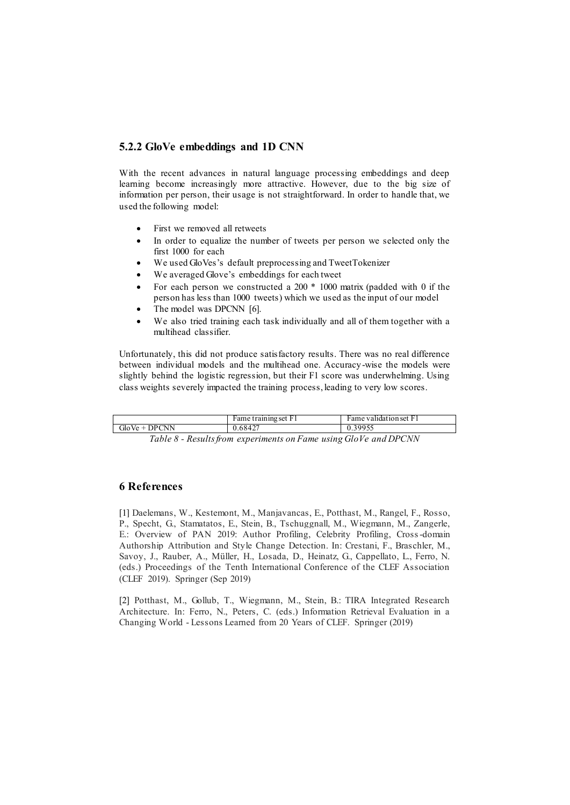## **5.2.2 GloVe embeddings and 1D CNN**

With the recent advances in natural language processing embeddings and deep learning become increasingly more attractive. However, due to the big size of information per person, their usage is not straightforward. In order to handle that, we used the following model:

- First we removed all retweets
- In order to equalize the number of tweets per person we selected only the first 1000 for each
- We used GloVes's default preprocessing and TweetTokenizer
- We averaged Glove's embeddings for each tweet
- For each person we constructed a 200 \* 1000 matrix (padded with 0 if the person has less than 1000 tweets) which we used as the input of our model
- The model was DPCNN [6].
- We also tried training each task individually and all of them together with a multihead classifier.

Unfortunately, this did not produce satisfactory results. There was no real difference between individual models and the multihead one. Accuracy-wise the models were slightly behind the logistic regression, but their F1 score was underwhelming. Using class weights severely impacted the training process, leading to very low scores.

|                 | Fame training set F1 | Fame validation set F1 |
|-----------------|----------------------|------------------------|
| $GloVe + DPCNN$ | 0.68427              | 0.39955                |
|                 |                      |                        |

*Table 8 - Results from experiments on Fame using GloVe and DPCNN*

# **6 References**

[1] Daelemans, W., Kestemont, M., Manjavancas, E., Potthast, M., Rangel, F., Rosso, P., Specht, G., Stamatatos, E., Stein, B., Tschuggnall, M., Wiegmann, M., Zangerle, E.: Overview of PAN 2019: Author Profiling, Celebrity Profiling, Cross-domain Authorship Attribution and Style Change Detection. In: Crestani, F., Braschler, M., Savoy, J., Rauber, A., Müller, H., Losada, D., Heinatz, G., Cappellato, L., Ferro, N. (eds.) Proceedings of the Tenth International Conference of the CLEF Association (CLEF 2019). Springer (Sep 2019)

[2] Potthast, M., Gollub, T., Wiegmann, M., Stein, B.: TIRA Integrated Research Architecture. In: Ferro, N., Peters, C. (eds.) Information Retrieval Evaluation in a Changing World - Lessons Learned from 20 Years of CLEF. Springer (2019)